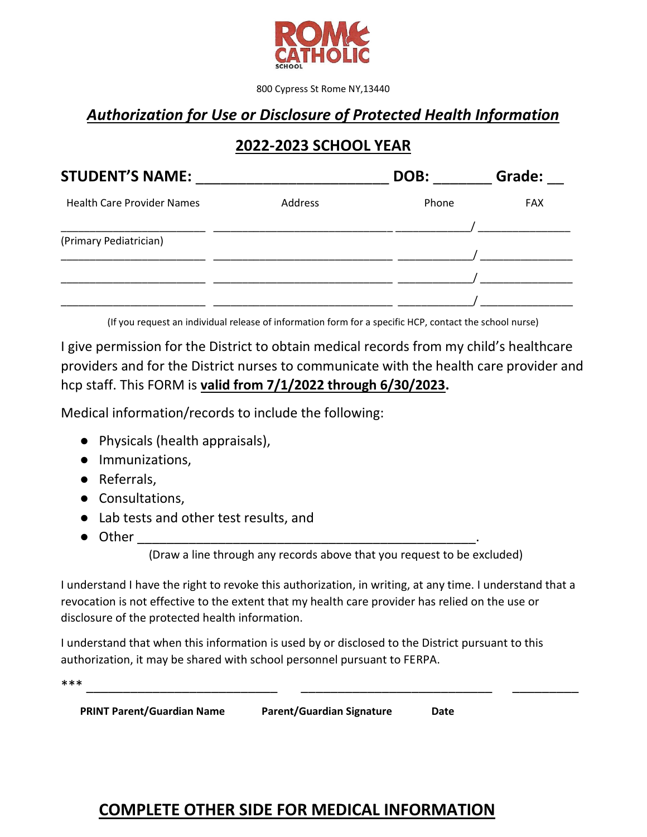

800 Cypress St Rome NY,13440

## *Authorization for Use or Disclosure of Protected Health Information*

## **2022-2023 SCHOOL YEAR**

| <b>STUDENT'S NAME:</b>            |         | DOB:  | Grade:     |
|-----------------------------------|---------|-------|------------|
| <b>Health Care Provider Names</b> | Address | Phone | <b>FAX</b> |
| (Primary Pediatrician)            |         |       |            |
|                                   |         |       |            |
|                                   |         |       |            |

(If you request an individual release of information form for a specific HCP, contact the school nurse)

I give permission for the District to obtain medical records from my child's healthcare providers and for the District nurses to communicate with the health care provider and hcp staff. This FORM is **valid from 7/1/2022 through 6/30/2023.**

Medical information/records to include the following:

- Physicals (health appraisals),
- Immunizations,
- Referrals,
- Consultations,
- Lab tests and other test results, and
- $\bullet$  Other

(Draw a line through any records above that you request to be excluded)

I understand I have the right to revoke this authorization, in writing, at any time. I understand that a revocation is not effective to the extent that my health care provider has relied on the use or disclosure of the protected health information.

I understand that when this information is used by or disclosed to the District pursuant to this authorization, it may be shared with school personnel pursuant to FERPA.

\*\*\* \_\_\_\_\_\_\_\_\_\_\_\_\_\_\_\_\_\_\_\_\_\_\_\_\_\_ \_\_\_\_\_\_\_\_\_\_\_\_\_\_\_\_\_\_\_\_\_\_\_\_\_\_ \_\_\_\_\_\_\_\_\_

 **PRINT Parent/Guardian Name Parent/Guardian Signature Date**

# **COMPLETE OTHER SIDE FOR MEDICAL INFORMATION**